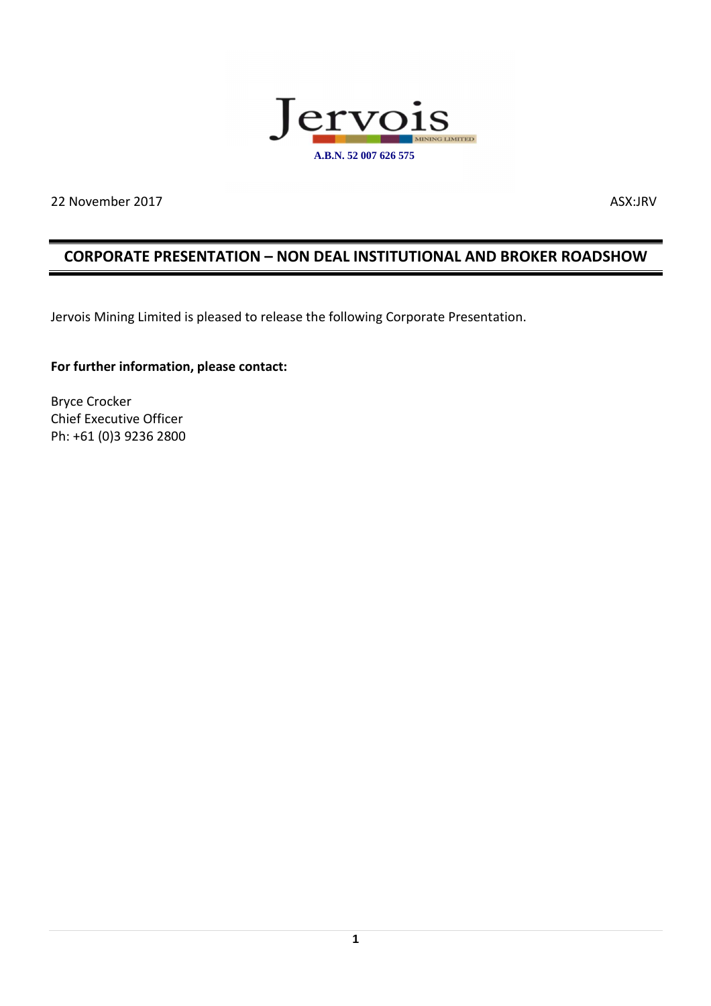

22 November 2017 ASX:JRV

### **CORPORATE PRESENTATION – NON DEAL INSTITUTIONAL AND BROKER ROADSHOW**

Jervois Mining Limited is pleased to release the following Corporate Presentation.

#### **For further information, please contact:**

Bryce Crocker Chief Executive Officer Ph: +61 (0)3 9236 2800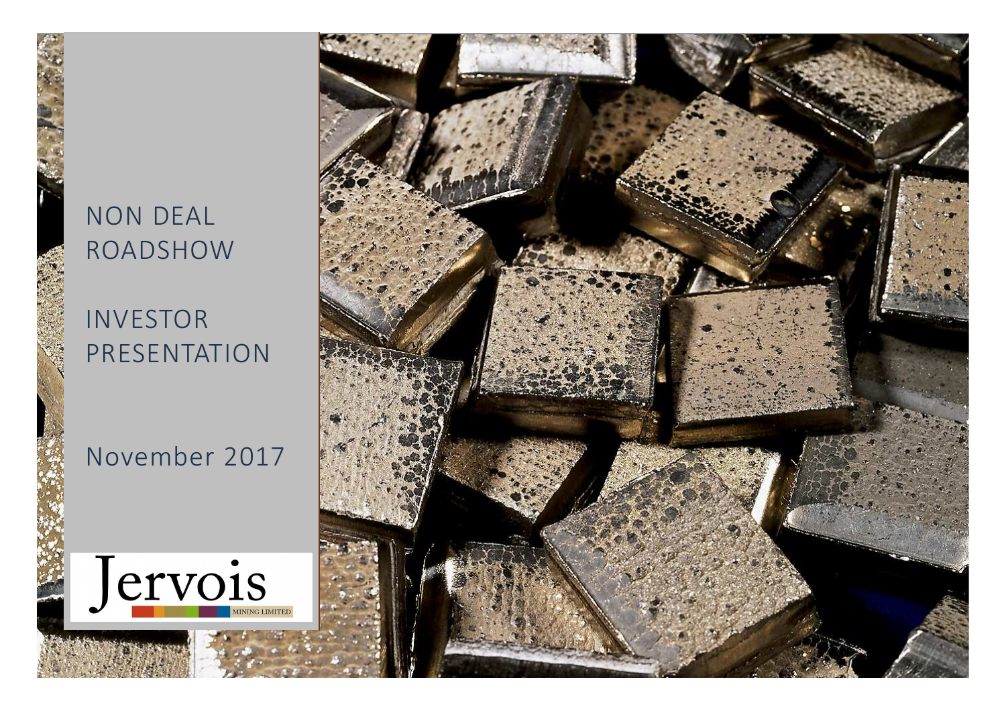# NON DEAL ROADSHOW

## INVESTORPRESENTATION

## November 2017



P R I D A T E N T E N T I D E N T E

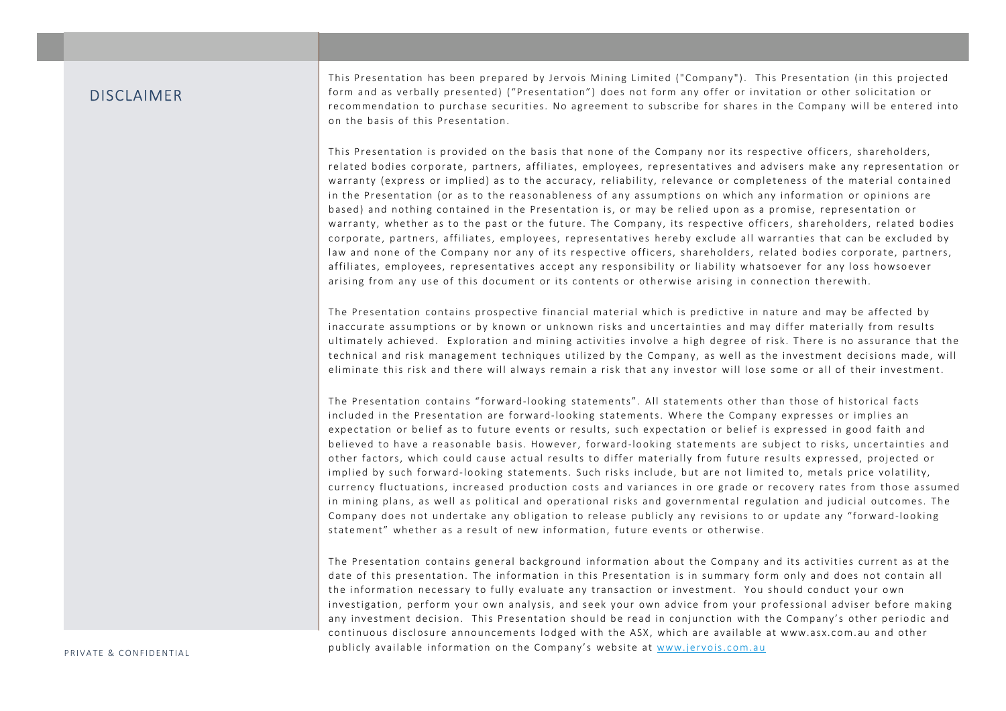#### DISCLAIMER

This Presentation has been prepared by Jervois Mining Limited ("Company"). This Presentation (in this projected form and as verbally presented) ("Presentation") does not form any offer or invitation or other solicitation or recommendation to purchase securities. No agreement to subscribe for shares in the Company will be entered into on the basis of this Presentation.

This Presentation is provided on the basis that none of the Company nor its respective officers, shareholders, related bodies corporate, partners, affiliates, employees, representatives and advisers make any representation or warranty (express or implied) as to the accuracy, reliability, relevance or completenes s of the material contained in the Presentation (or as to the reasonableness of any assumptions on which any information or opinions are based) and nothing contained in the Presentation is, or may be relied upon as a promise, representation or warranty, whether as to the past or the future. The Company, its respective officers, shareholders, related bodies corporate, partners, affiliates, employees, representatives hereby exclude all warranties that can be excluded by law and none of the Company nor any of its respective officers, shareholders, related bodies corporate, partners, affiliates, employees, representatives accept any responsibility or liability whatsoever for any loss howsoever arising from any use of this document or its contents or otherwise arising in connection therewith.

The Presentation contains prospective financial material which is predictive in nature and may be affected by inaccurate assumptions or by known or unknown risks and uncertainties and may differ materially from results ultimately achieved. Exploration and mining activities involve a high degree of risk. There is no assurance that the technical and risk management techniques utilized by the Company, as well as the investment decisions made, will eliminate this risk and there will always remain a risk that any investor will lose some or all of their investment.

The Presentation contains "forward-looking statements". All statements other than those of historical facts included in the Presentation are forward-looking statements. Where the Company expresses or implies an expectation or belief as to future events or results, such expectation or belief is expressed in good faith and believed to have a reasonable basis. However, forward-looking statements are subject to risks, uncertainties and other factors , which could cause actual results to differ materially from future results expressed, projected or implied by such forward-looking statements. Such risks include, but are not limited to, metals price volatility, currency fluctuations , increased production costs and variances in ore grade or recovery rates from those assumed in mining plans, as well as political and operational risks and governmental regulation and judicial outcomes. The Company does not undertake any obligation to release publicly any revisions to or update any "forward-looking statement" whether as a result of new information , future events or otherwise.

The Presentation contains general background information about the Company and its activities current as at the date of this presentation. The information in this Presentation is in summary form only and does not contain all the information necessary to fully evaluate any transaction or investment. You should conduct your own investigation, perform your own analysis, and seek your own advice from your professional adviser before making any investment decision. This Presentation should be read in conjunction with the Company's other periodic and continuous disclosure announcements lodged with the ASX, which are available at www.asx.com.au and other publicly available information on the Company's website at www.jervois.com.au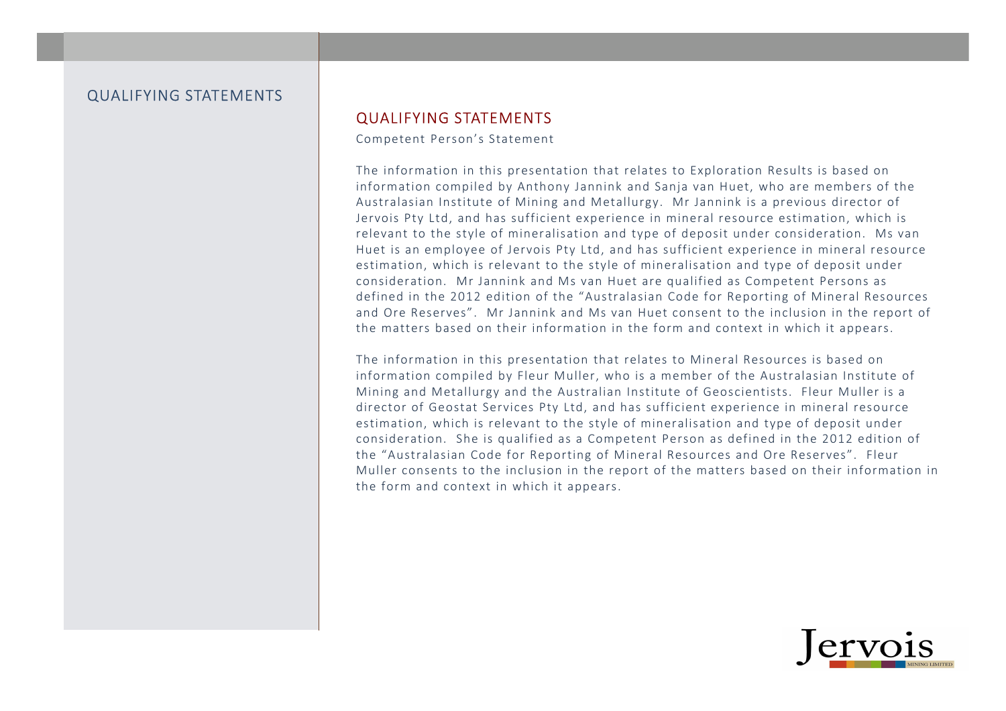#### QUALIFYING STATEMENTS

#### QUALIFYING STATEMENTS

Competent Person's Statement

The information in this presentation that relates to Exploration Results is based on information compiled by Anthony Jannink and Sanja van Huet, who are members of the Australasian Institute of Mining and Metallurgy. Mr Jannink is a previous director of Jervois Pty Ltd, and has sufficient experience in mineral resource estimation, which is relevant to the style of mineralisation and type of deposit under consideration. Ms van Huet is an employee of Jervois Pty Ltd, and has sufficient experience in mineral resource estimation, which is relevant to the style of mineralisation and type of deposit under consideration. Mr Jannink and Ms van Huet are qualified as Competent Persons as defined in the 2012 edition of the "Australasian Code for Reporting of Mineral Resources and Ore Reserves". Mr Jannink and Ms van Huet consent to the inclusion in the report of the matters based on their information in the form and context in which it appears.

The information in this presentation that relates to Mineral Resources is based on information compiled by Fleur Muller, who is a member of the Australasian Institute of Mining and Metallurgy and the Australian Institute of Geoscientists. Fleur Muller is a director of Geostat Services Pty Ltd, and has sufficient experience in mineral resource estimation, which is relevant to the style of mineralisation and type of deposit under consideration. She is qualified as a Competent Person as defined in the 2012 edition of the "Australasian Code for Reporting of Mineral Resources and Ore Reserves". Fleur Muller consents to the inclusion in the report of the matters based on their information in the form and context in which it appears.

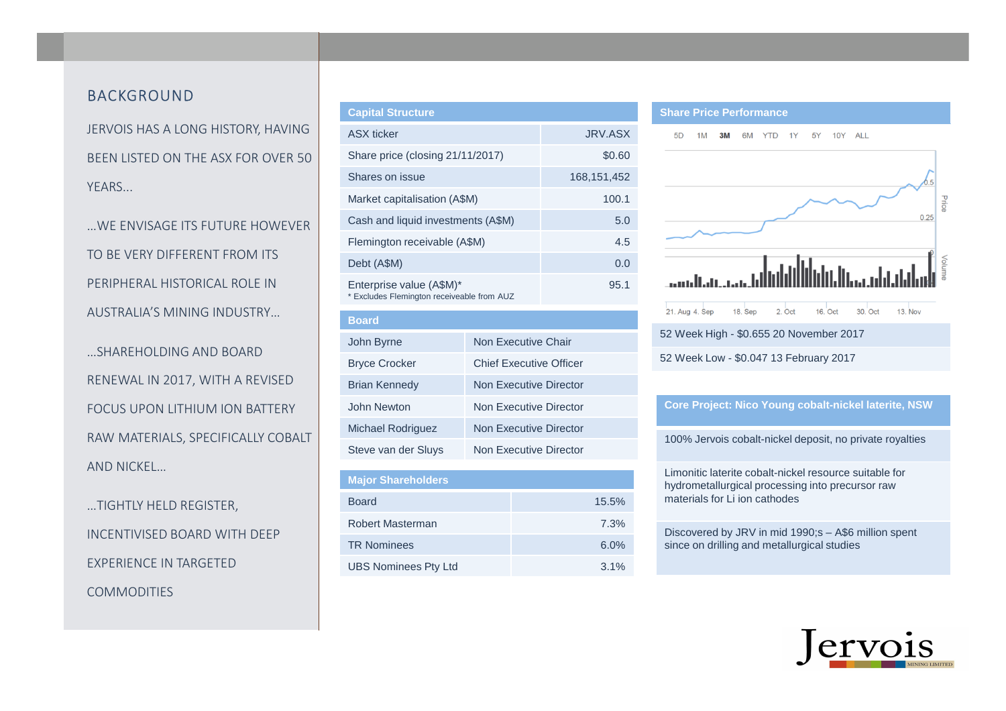#### BACKGROUND

JERVOIS HAS A LONG HISTORY, HAVING BEEN LISTED ON THE ASX FOR OVER 50 YEARS...

…WE ENVISAGE ITS FUTURE HOWEVER TO BE VERY DIFFERENT FROM ITS PERIPHERAL HISTORICAL ROLE IN AUSTRALIA'S MINING INDUSTRY…

…SHAREHOLDING AND BOARD RENEWAL IN 2017, WITH A REVISED FOCUS UPON LITHIUM ION BATTERY RAW MATERIALS, SPECIFICALLY COBALT AND NICKEL…

…TIGHTLY HELD REGISTER, INCENTIVISED BOARD WITH DEEP EXPERIENCE IN TARGETED **COMMODITIES** 

| <b>Capital Structure</b>                                               |                |
|------------------------------------------------------------------------|----------------|
| <b>ASX</b> ticker                                                      | <b>JRV.ASX</b> |
| Share price (closing 21/11/2017)                                       | \$0.60         |
| Shares on issue                                                        | 168, 151, 452  |
| Market capitalisation (A\$M)                                           | 100.1          |
| Cash and liquid investments (A\$M)                                     | 5.0            |
| Flemington receivable (A\$M)                                           | 4.5            |
| Debt (A\$M)                                                            | 0.0            |
| Enterprise value (A\$M)*<br>* Excludes Flemington receiveable from AUZ | 95.1           |

| <b>Board</b>             |                         |
|--------------------------|-------------------------|
| John Byrne               | Non Executive Chair     |
| <b>Bryce Crocker</b>     | Chief Executive Officer |
| <b>Brian Kennedy</b>     | Non Executive Director  |
| John Newton              | Non Executive Director  |
| <b>Michael Rodriguez</b> | Non Executive Director  |
| Steve van der Sluys      | Non Executive Director  |
|                          |                         |

| <b>Major Shareholders</b>   |       |
|-----------------------------|-------|
| <b>Board</b>                | 15.5% |
| Robert Masterman            | 7.3%  |
| <b>TR Nominees</b>          | 6.0%  |
| <b>UBS Nominees Pty Ltd</b> | 3.1%  |

#### **Share Price Performance**



#### **Core Project: Nico Young cobalt-nickel laterite, NSW**

100% Jervois cobalt-nickel deposit, no private royalties

Limonitic laterite cobalt-nickel resource suitable for hydrometallurgical processing into precursor raw materials for Li ion cathodes

Discovered by JRV in mid 1990;s – A\$6 million spent since on drilling and metallurgical studies

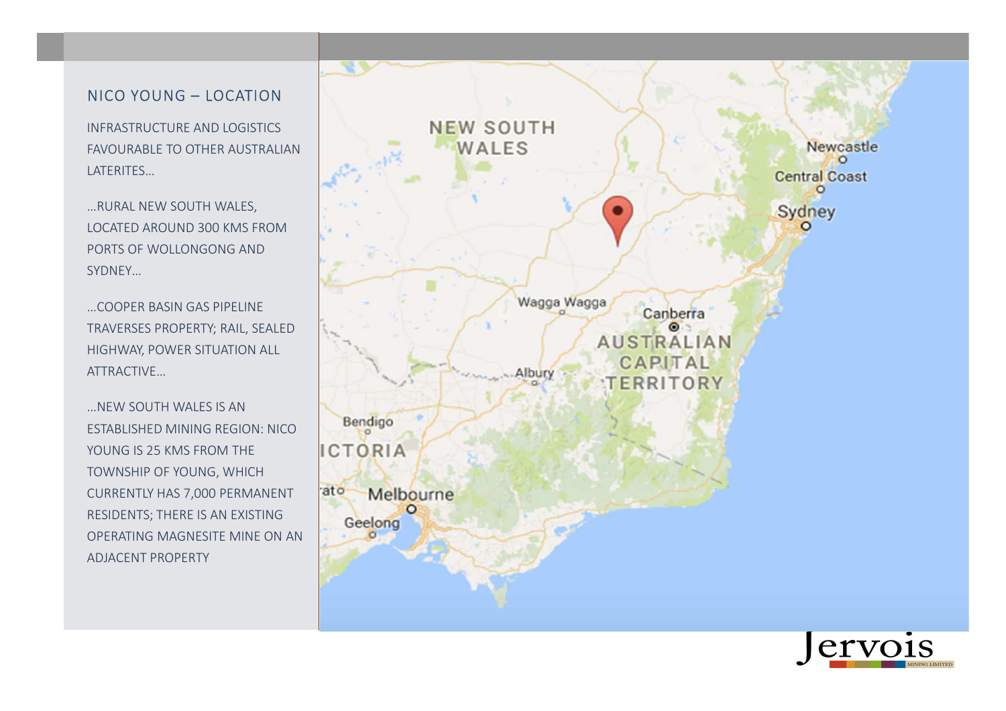## NICO YOUNG – LOCATION

INFRASTRUCTURE AND LOGISTICS FAVOURABLE TO OTHER AUSTRALIAN LATERITES…

…RURAL NEW SOUTH WALES, LOCATED AROUND 300 KMS FROM PORTS OF WOLLONGONG AND SYDNEY…

…COOPER BASIN GAS PIPELINE TRAVERSES PROPERTY; RAIL, SEALED HIGHWAY, POWER SITUATION ALL ATTRACTIVE…

…NEW SOUTH WALES IS AN ESTABLISHED MINING REGION: NICOYOUNG IS 25 KMS FROM THE TOWNSHIP OF YOUNG, WHICH CURRENTLY HAS 7,000 PERMANENT RESIDENTS; THERE IS AN EXISTING OPERATING MAGNESITE MINE ON AN ADJACENT PROPERTY



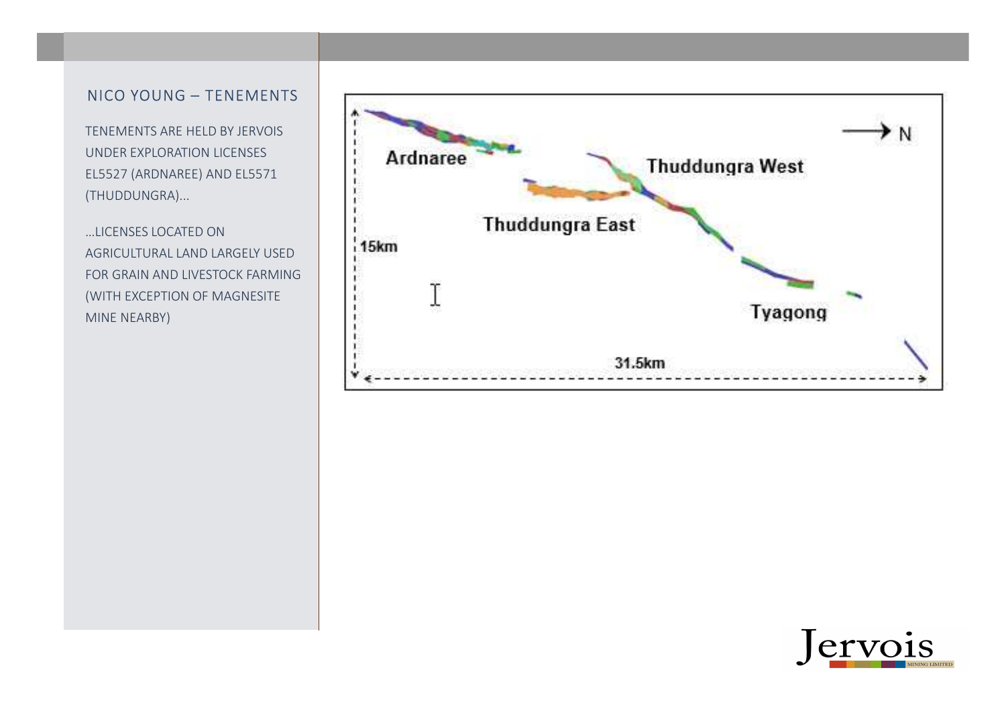### NICO YOUNG – TENEMENTS

TENEMENTS ARE HELD BY JERVOIS UNDER EXPLORATION LICENSES EL5527 (ARDNAREE) AND EL5571 (THUDDUNGRA)...

…LICENSES LOCATED ON AGRICULTURAL LAND LARGELY USED FOR GRAIN AND LIVESTOCK FARMING (WITH EXCEPTION OF MAGNESITE MINE NEARBY)



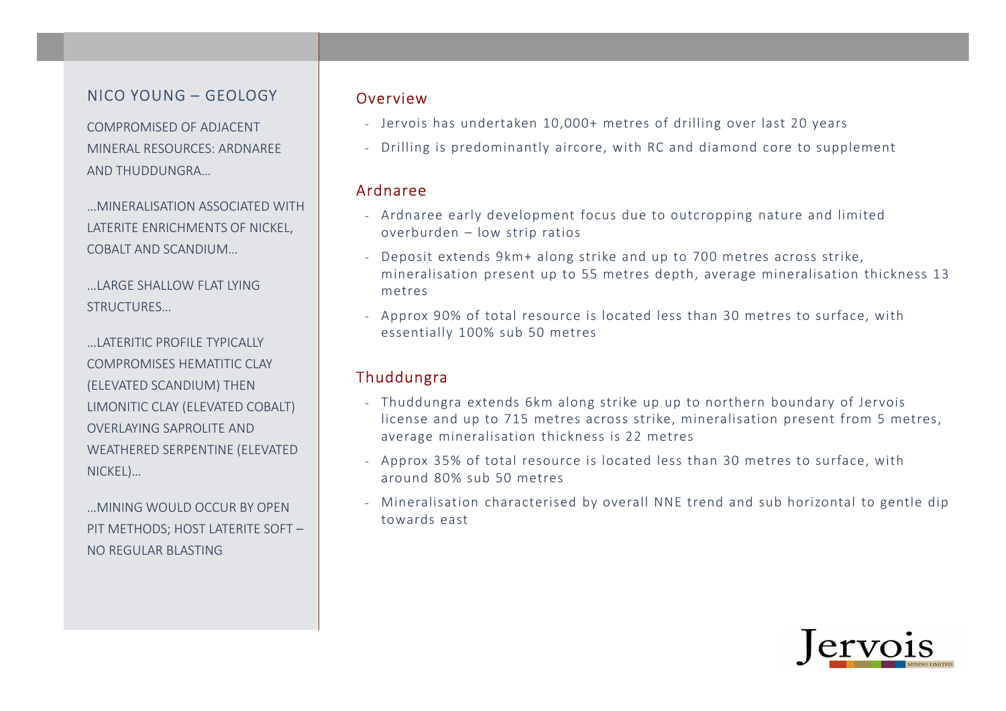## NICO YOUNG – GEOLOGY

COMPROMISED OF ADJACENT MINERAL RESOURCES: ARDNAREE AND THUDDUNGRA…

…MINERALISATION ASSOCIATED WITH LATERITE ENRICHMENTS OF NICKEL, COBALT AND SCANDIUM…

…LARGE SHALLOW FLAT LYING STRUCTURES…

…LATERITIC PROFILE TYPICALLY COMPROMISES HEMATITIC CLAY (ELEVATED SCANDIUM) THEN LIMONITIC CLAY (ELEVATED COBALT) OVERLAYING SAPROLITE AND WEATHERED SERPENTINE (ELEVATED NICKEL)…

…MINING WOULD OCCUR BY OPEN PIT METHODS; HOST LATERITE SOFT –NO REGULAR BLASTING

### Overview

- Jervois has undertaken 10,000+ metres of drilling over last 20 years
- Drilling is predominantly aircore, with RC and diamond core to supplement

#### Ardnaree

- Ardnaree early development focus due to outcropping nature and limited overburden – low strip ratios
- Deposit extends 9km+ along strike and up to 700 metres across strike, mineralisation present up to 55 metres depth, average mineralisation thickness 13 metres
- Approx 90% of total resource is located less than 30 metres to surface, with essentially 100% sub 50 metres

### Thuddungra

- Thuddungra extends 6km along strike up up to northern boundary of Jervois license and up to 715 metres across strike, mineralisation present from 5 metres, average mineralisation thickness is 22 metres
- Approx 35% of total resource is located less than 30 metres to surface, with around 80% sub 50 metres
- Mineralisation characterised by overall NNE trend and sub horizontal to gentle dip towards east

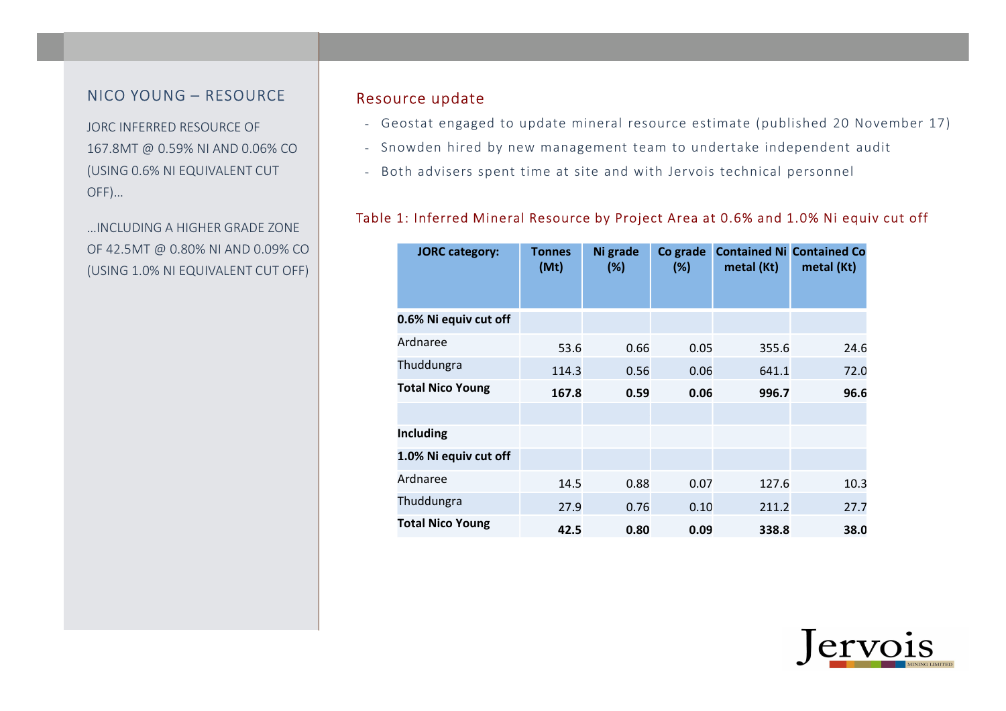### NICO YOUNG – RESOURCE

JORC INFERRED RESOURCE OF 167.8MT @ 0.59% NI AND 0.06% CO (USING 0.6% NI EQUIVALENT CUT OFF)…

…INCLUDING A HIGHER GRADE ZONE OF 42.5MT @ 0.80% NI AND 0.09% CO (USING 1.0% NI EQUIVALENT CUT OFF)

### Resource update

- Geostat engaged to update mineral resource estimate (published 20 November 17)
- Snowden hired by new management team to undertake independent audit
- Both advisers spent time at site and with Jervois technical personnel

### Table 1: Inferred Mineral Resource by Project Area at 0.6% and 1.0% Ni equiv cut off

| <b>JORC category:</b>   | <b>Tonnes</b><br>(Mt) | Ni grade<br>(%) | Co grade<br>(%) | metal (Kt) | <b>Contained Ni Contained Co</b><br>metal (Kt) |
|-------------------------|-----------------------|-----------------|-----------------|------------|------------------------------------------------|
| 0.6% Ni equiv cut off   |                       |                 |                 |            |                                                |
| Ardnaree                | 53.6                  | 0.66            | 0.05            | 355.6      | 24.6                                           |
| Thuddungra              | 114.3                 | 0.56            | 0.06            | 641.1      | 72.0                                           |
| <b>Total Nico Young</b> | 167.8                 | 0.59            | 0.06            | 996.7      | 96.6                                           |
|                         |                       |                 |                 |            |                                                |
| Including               |                       |                 |                 |            |                                                |
| 1.0% Ni equiv cut off   |                       |                 |                 |            |                                                |
| Ardnaree                | 14.5                  | 0.88            | 0.07            | 127.6      | 10.3                                           |
| Thuddungra              | 27.9                  | 0.76            | 0.10            | 211.2      | 27.7                                           |
| <b>Total Nico Young</b> | 42.5                  | 0.80            | 0.09            | 338.8      | 38.0                                           |

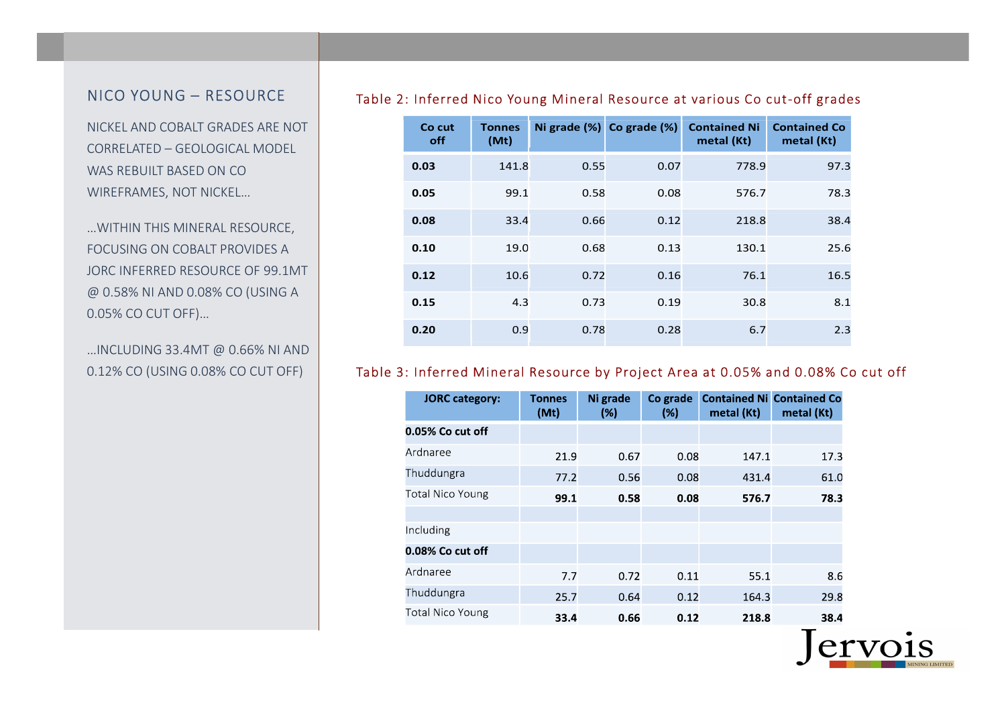### NICO YOUNG –

NICKEL AND COBALT GRADES ARE NOT CORRELATED – GEOLOGICAL MODEL WAS REBUILT BASED ON CO WIREFRAMES, NOT NICKEL…

…WITHIN THIS MINERAL RESOURCE, FOCUSING ON COBALT PROVIDES A JORC INFERRED RESOURCE OF 99.1MT @ 0.58% NI AND 0.08% CO (USING A 0.05% CO CUT OFF)…

…INCLUDING 33.4MT @ 0.66% NI AND 0.12% CO (USING 0.08% CO CUT OFF)

#### Table 2: Inferred Nico Young Mineral Resource at various Co cut-off grades

| Co cut<br>off | <b>Tonnes</b><br>(Mt) |      | Ni grade (%) Co grade (%) | <b>Contained Ni</b><br>metal (Kt) | <b>Contained Co</b><br>metal (Kt) |
|---------------|-----------------------|------|---------------------------|-----------------------------------|-----------------------------------|
| 0.03          | 141.8                 | 0.55 | 0.07                      | 778.9                             | 97.3                              |
| 0.05          | 99.1                  | 0.58 | 0.08                      | 576.7                             | 78.3                              |
| 0.08          | 33.4                  | 0.66 | 0.12                      | 218.8                             | 38.4                              |
| 0.10          | 19.0                  | 0.68 | 0.13                      | 130.1                             | 25.6                              |
| 0.12          | 10.6                  | 0.72 | 0.16                      | 76.1                              | 16.5                              |
| 0.15          | 4.3                   | 0.73 | 0.19                      | 30.8                              | 8.1                               |
| 0.20          | 0.9                   | 0.78 | 0.28                      | 6.7                               | 2.3                               |

### Table 3: Inferred Mineral Resource by Project Area at 0.05% and 0.08% Co cut off

| <b>JORC</b> category:   | <b>Tonnes</b><br>(Mt) | Ni grade<br>(%) | Co grade<br>(%) | metal (Kt) | <b>Contained Ni Contained Co</b><br>metal (Kt) |
|-------------------------|-----------------------|-----------------|-----------------|------------|------------------------------------------------|
| 0.05% Co cut off        |                       |                 |                 |            |                                                |
| Ardnaree                | 21.9                  | 0.67            | 0.08            | 147.1      | 17.3                                           |
| Thuddungra              | 77.2                  | 0.56            | 0.08            | 431.4      | 61.0                                           |
| <b>Total Nico Young</b> | 99.1                  | 0.58            | 0.08            | 576.7      | 78.3                                           |
|                         |                       |                 |                 |            |                                                |
| Including               |                       |                 |                 |            |                                                |
| 0.08% Co cut off        |                       |                 |                 |            |                                                |
| Ardnaree                | 7.7                   | 0.72            | 0.11            | 55.1       | 8.6                                            |
| Thuddungra              | 25.7                  | 0.64            | 0.12            | 164.3      | 29.8                                           |
| <b>Total Nico Young</b> | 33.4                  | 0.66            | 0.12            | 218.8      | 38.4                                           |

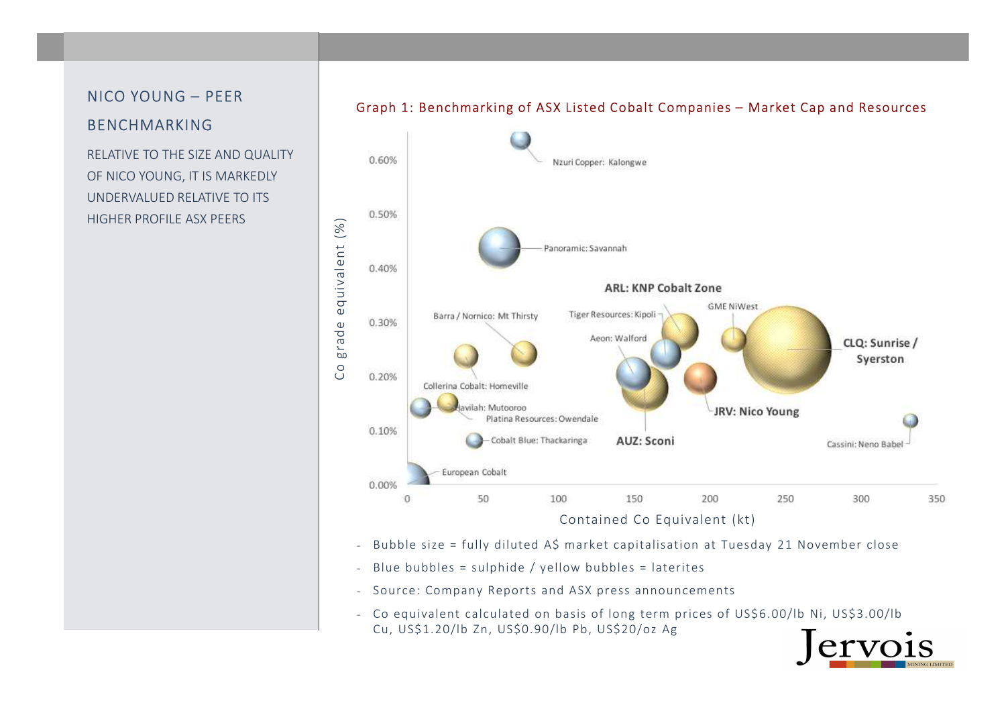### NICO YOUNG – PEER

### BENCHMARKING

RELATIVE TO THE SIZE AND QUALITY OF NICO YOUNG, IT IS MARKEDLY UNDERVALUED RELATIVE TO ITS HIGHER PROFILE ASX PEERS



### Graph 1: Benchmarking of ASX Listed Cobalt Companies – Market Cap and Resources

- Bubble size = fully diluted A\$ market capitalisation at Tuesday 21 November close
- -Blue bubbles = sulphide / yellow bubbles = laterites
- Source: Company Reports and ASX press announcements
- Co equivalent calculated on basis of long term prices of US\$6.00/lb Ni, US\$3.00/lbCu, US\$1.20/lb Zn, US\$0.90/lb Pb, US\$20/oz Ag

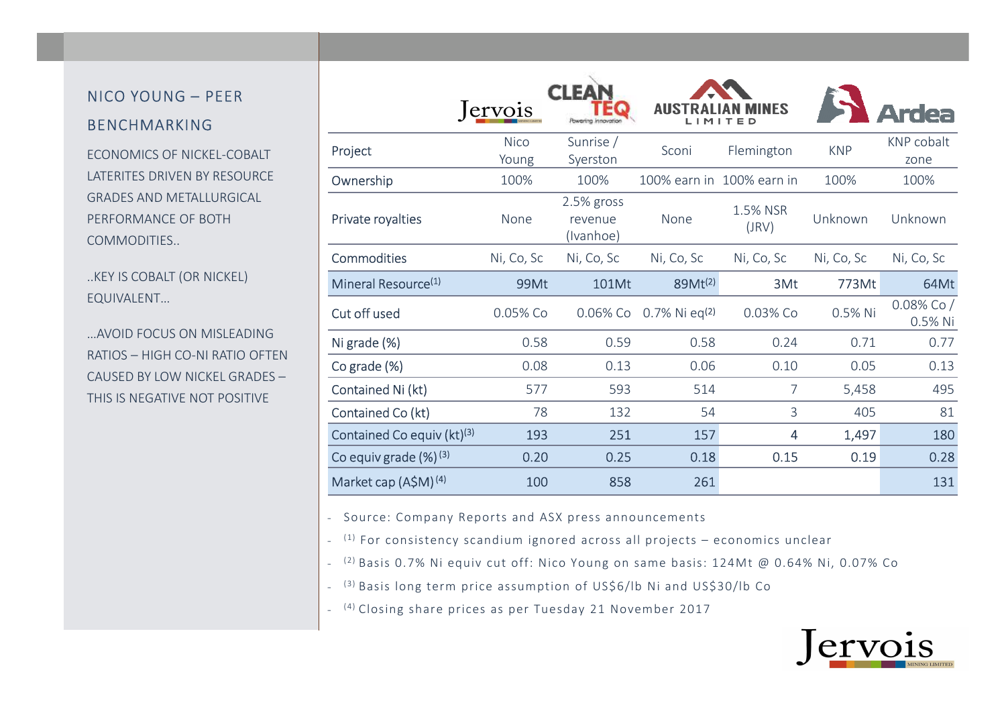### NICO YOUNG – PEER BENCHMARKING

ECONOMICS OF NICKEL-COBALT LATERITES DRIVEN BY RESOURCE GRADES AND METALLURGICAL PERFORMANCE OF BOTH COMMODITIES..

..KEY IS COBALT (OR NICKEL) EQUIVALENT…

…AVOID FOCUS ON MISLEADING RATIOS – HIGH CO-NI RATIO OFTEN CAUSED BY LOW NICKEL GRADES –THIS IS NEGATIVE NOT POSITIVE

|                                        | <i>ervois</i>        | Powering innovation                | <b>AUS</b><br>LIMI           |                           |            |                            |
|----------------------------------------|----------------------|------------------------------------|------------------------------|---------------------------|------------|----------------------------|
| Project                                | <b>Nico</b><br>Young | Sunrise /<br>Syerston              | Sconi                        | Flemington                | <b>KNP</b> | <b>KNP</b> cobalt<br>zone  |
| Ownership                              | 100%                 | 100%                               |                              | 100% earn in 100% earn in | 100%       | 100%                       |
| Private royalties                      | None                 | 2.5% gross<br>revenue<br>(Ivanhoe) | None                         | 1.5% NSR<br>(JRV)         | Unknown    | Unknown                    |
| <b>Commodities</b>                     | Ni, Co, Sc           | Ni, Co, Sc                         | Ni, Co, Sc                   | Ni, Co, Sc                | Ni, Co, Sc | Ni, Co, Sc                 |
| Mineral Resource <sup>(1)</sup>        | 99Mt                 | <b>101Mt</b>                       | 89Mt <sup>(2)</sup>          | 3Mt                       | 773Mt      | 64Mt                       |
| Cut off used                           | 0.05% Co             | 0.06% Co                           | $0.7\%$ Ni eq <sup>(2)</sup> | 0.03% Co                  | 0.5% Ni    | $0.08\%$ Co $/$<br>0.5% Ni |
| Ni grade (%)                           | 0.58                 | 0.59                               | 0.58                         | 0.24                      | 0.71       | 0.77                       |
| Co grade (%)                           | 0.08                 | 0.13                               | 0.06                         | 0.10                      | 0.05       | 0.13                       |
| Contained Ni (kt)                      | 577                  | 593                                | 514                          | $\overline{7}$            | 5,458      | 495                        |
| Contained Co (kt)                      | 78                   | 132                                | 54                           | 3                         | 405        | 81                         |
| Contained Co equiv (kt) <sup>(3)</sup> | 193                  | 251                                | 157                          | 4                         | 1,497      | 180                        |
| Co equiv grade $(\%)^{(3)}$            | 0.20                 | 0.25                               | 0.18                         | 0.15                      | 0.19       | 0.28                       |
| Market cap $(A$M)$ <sup>(4)</sup>      | 100                  | 858                                | 261                          |                           |            | 131                        |

- Source: Company Reports and ASX press announcements

- <sup>(1)</sup> For consistency scandium ignored across all projects – economics unclear

- (2) Basis 0.7% Ni equiv cut off: Nico Young on same basis: 124Mt @ 0.64% Ni, 0.07% Co

- <sup>(3)</sup> Basis long term price assumption of US\$6/lb Ni and US\$30/lb Co

- (4) Closing share prices as per Tuesday 21 November 2017

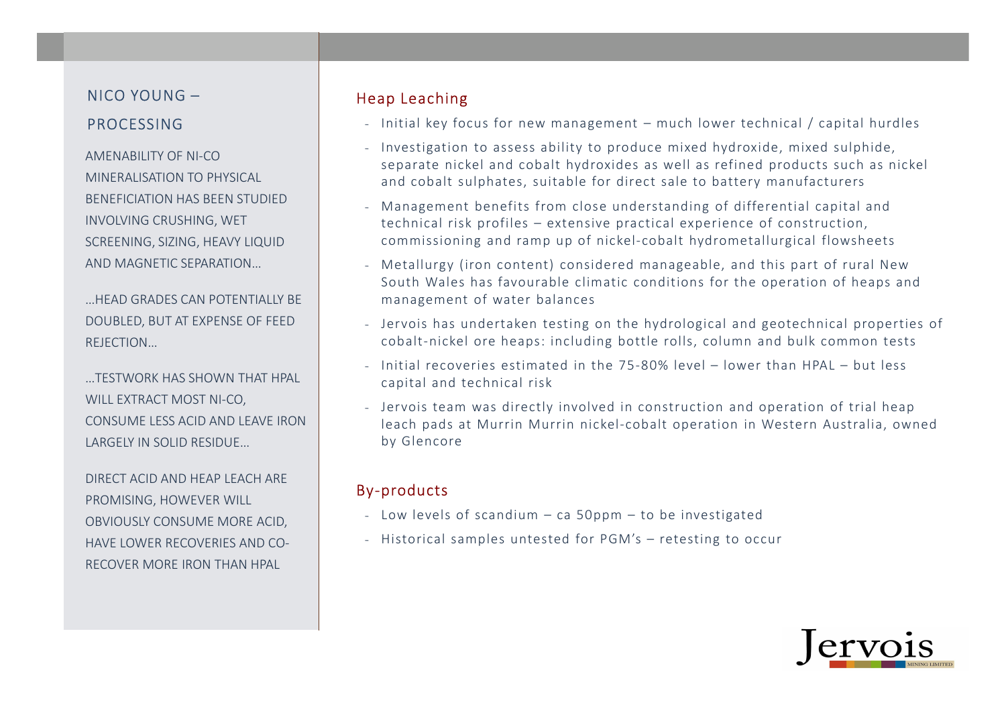### NICO YOUNG –NICO YOUNG – The Reap Leaching<br>PROCESSING Thitial key for

AMENABILITY OF NI-CO MINERALISATION TO PHYSICAL BENEFICIATION HAS BEEN STUDIED INVOLVING CRUSHING, WET SCREENING, SIZING, HEAVY LIQUID AND MAGNETIC SEPARATION…

…HEAD GRADES CAN POTENTIALLY BE DOUBLED, BUT AT EXPENSE OF FEED REJECTION…

…TESTWORK HAS SHOWN THAT HPAL WILL EXTRACT MOST NI-CO, CONSUME LESS ACID AND LEAVE IRON LARGELY IN SOLID RESIDUE…

DIRECT ACID AND HEAP LEACH ARE PROMISING, HOWEVER WILL OBVIOUSLY CONSUME MORE ACID, HAVE LOWER RECOVERIES AND CO-RECOVER MORE IRON THAN HPAL

- Initial key focus for new management much lower technical / capital hurdles
- Investigation to assess ability to produce mixed hydroxide, mixed sulphide, separate nickel and cobalt hydroxides as well as refined products such as nickel and cobalt sulphates, suitable for direct sale to battery manufacturers
- Management benefits from close understanding of differential capital and technical risk profiles – extensive practical experience of construction, commissioning and ramp up of nickel-cobalt hydrometallurgical flowsheets
- Metallurgy (iron content) considered manageable, and this part of rural New South Wales has favourable climatic conditions for the operation of heaps and management of water balances
- Jervois has undertaken testing on the hydrological and geotechnical properties of cobalt-nickel ore heaps: including bottle rolls, column and bulk common tests
- Initial recoveries estimated in the 75-80% level lower than HPAL but less capital and technical risk
- Jervois team was directly involved in construction and operation of trial heap leach pads at Murrin Murrin nickel-cobalt operation in Western Australia, owned by Glencore

### By-products

- Low levels of scandium ca 50ppm to be investigated
- Historical samples untested for PGM's retesting to occur

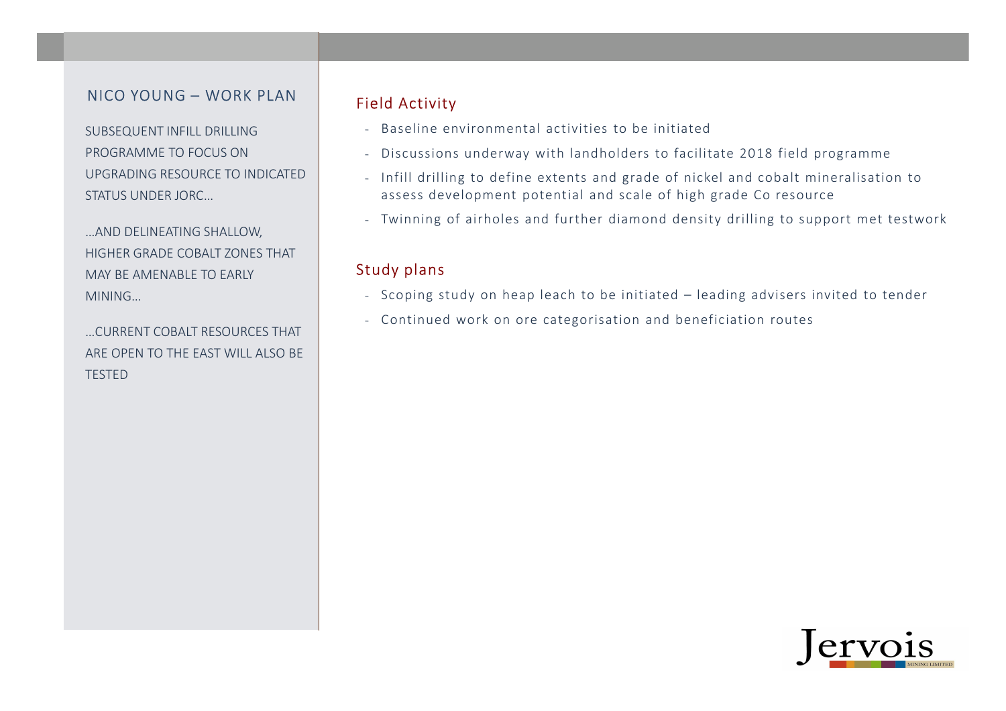### NICO YOUNG – WORK PLAN

SUBSEQUENT INFILL DRILLING PROGRAMME TO FOCUS ON UPGRADING RESOURCE TO INDICATED STATUS UNDER JORC…

…AND DELINEATING SHALLOW, HIGHER GRADE COBALT ZONES THAT MAY BE AMENABLE TO EARLY MINING…

…CURRENT COBALT RESOURCES THAT ARE OPEN TO THE EAST WILL ALSO BE TESTED

### Field Activity

- Baseline environmental activities to be initiated
- Discussions underway with landholders to facilitate 2018 field programme
- Infill drilling to define extents and grade of nickel and cobalt mineralisation to assess development potential and scale of high grade Co resource
- Twinning of airholes and further diamond density drilling to support met testwork

### Study plans

- Scoping study on heap leach to be initiated leading advisers invited to tender
- Continued work on ore categorisation and beneficiation routes

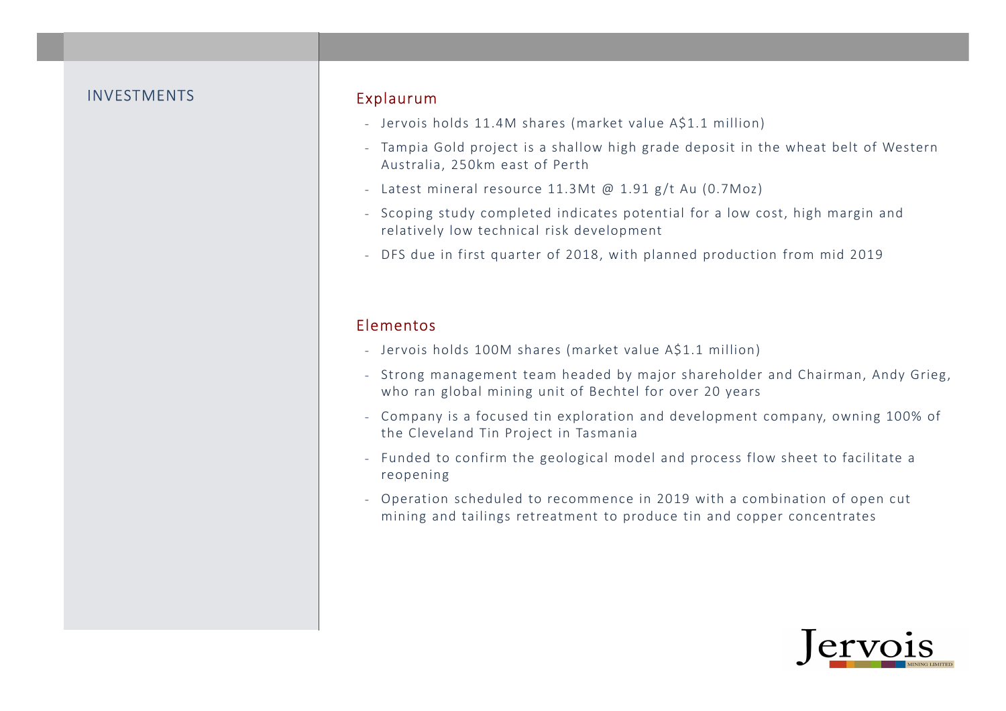#### INVESTMENTS

### Explaurum

- Jervois holds 11.4M shares (market value A\$1.1 million)
- Tampia Gold project is a shallow high grade deposit in the wheat belt of Western Australia, 250km east of Perth
- Latest mineral resource 11.3Mt @ 1.91 g /t Au (0.7Moz)
- Scoping study completed indicates potential for a low cost, high margin and relatively low technical risk development
- DFS due in first quarter of 2018, with planned production from mid 2019

### Elementos

- Jervois holds 100M shares (market value A\$1.1 million)
- Strong management team headed by major shareholder and Chairman, Andy Grieg, who ran global mining unit of Bechtel for over 20 years
- Company is a focused tin exploration and development company, owning 100% of the Cleveland Tin Project in Tasmania
- Funded to confirm the geological model and process flow sheet to facilitate a reopening
- Operation scheduled to recommence in 2019 with a combination of open cut mining and tailings retreatment to produce tin and copper concentrates

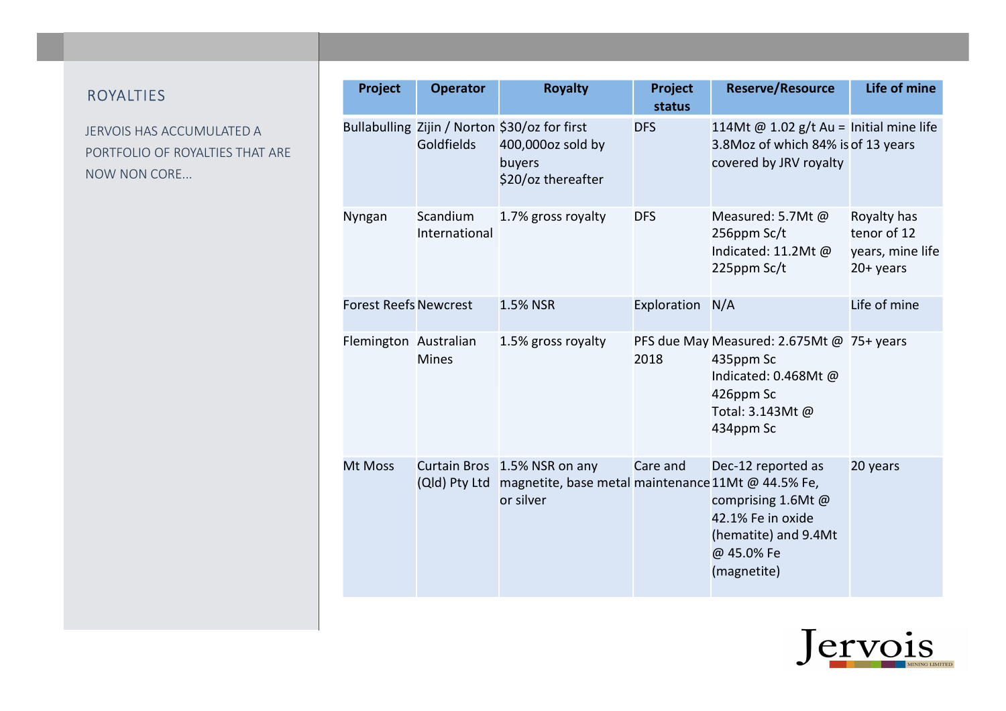### ROYALTIES

JERVOIS HAS ACCUMULATED A PORTFOLIO OF ROYALTIES THAT ARE NOW NON CORE...

| Project                      | <b>Operator</b>           | <b>Royalty</b>                                                                                     | Project<br>status | <b>Reserve/Resource</b>                                                                                                     | Life of mine                                                  |
|------------------------------|---------------------------|----------------------------------------------------------------------------------------------------|-------------------|-----------------------------------------------------------------------------------------------------------------------------|---------------------------------------------------------------|
|                              | Goldfields                | Bullabulling Zijin / Norton \$30/oz for first<br>400,000oz sold by<br>buyers<br>\$20/oz thereafter | <b>DFS</b>        | 114Mt @ 1.02 $g/t$ Au = Initial mine life<br>3.8Moz of which 84% is of 13 years<br>covered by JRV royalty                   |                                                               |
| Nyngan                       | Scandium<br>International | 1.7% gross royalty                                                                                 | <b>DFS</b>        | Measured: 5.7Mt @<br>256ppm Sc/t<br>Indicated: 11.2Mt @<br>225ppm Sc/t                                                      | Royalty has<br>tenor of 12<br>years, mine life<br>$20+$ years |
| <b>Forest Reefs Newcrest</b> |                           | 1.5% NSR                                                                                           | Exploration       | N/A                                                                                                                         | Life of mine                                                  |
| Flemington Australian        | <b>Mines</b>              | 1.5% gross royalty                                                                                 | 2018              | PFS due May Measured: 2.675Mt @ 75+ years<br>435ppm Sc<br>Indicated: 0.468Mt @<br>426ppm Sc<br>Total: 3.143Mt@<br>434ppm Sc |                                                               |
| Mt Moss                      | (Qld) Pty Ltd             | Curtain Bros 1.5% NSR on any<br>magnetite, base metal maintenance 11Mt @ 44.5% Fe,<br>or silver    | Care and          | Dec-12 reported as<br>comprising 1.6Mt @<br>42.1% Fe in oxide<br>(hematite) and 9.4Mt<br>@ 45.0% Fe<br>(magnetite)          | 20 years                                                      |

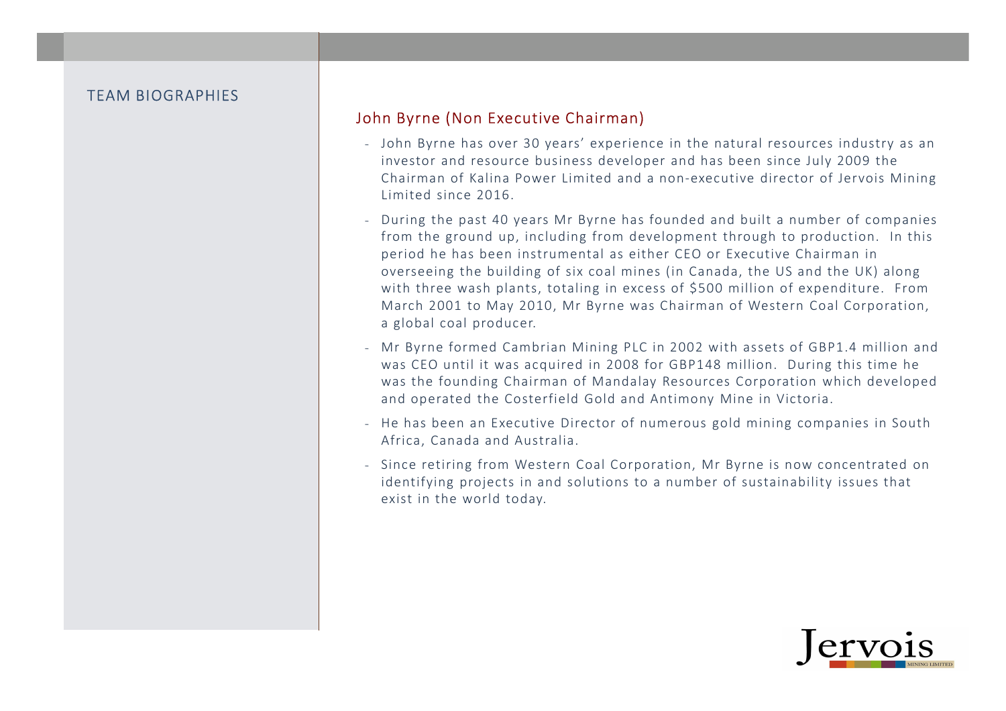### John Byrne (Non Executive Chairman)

- John Byrne has over 30 years' experience in the natural resources industry as an investor and resource business developer and has been since July 2009 the Chairman of Kalina Power Limited and a non-executive director of Jervois Mining Limited since 2016.
- During the past 40 years Mr Byrne has founded and built a number of companies from the ground up, including from development through to production. In this period he has been instrumental as either CEO or Executive Chairman in overseeing the building of six coal mines (in Canada, the US and the UK) along with three wash plants, totaling in excess of \$500 million of expenditure. From March 2001 to May 2010, Mr Byrne was Chairman of Western Coal Corporation, a global coal producer.
- Mr Byrne formed Cambrian Mining PLC in 2002 with assets of GBP1.4 million and was CEO until it was acquired in 2008 for GBP148 million. During this time he was the founding Chairman of Mandalay Resources Corporation which developed and operated the Costerfield Gold and Antimony Mine in Victoria.
- He has been an Executive Director of numerous gold mining companies in South Africa, Canada and Australia.
- Since retiring from Western Coal Corporation, Mr Byrne is now concentrated on identifying projects in and solutions to a number of sustainability issues that exist in the world today.

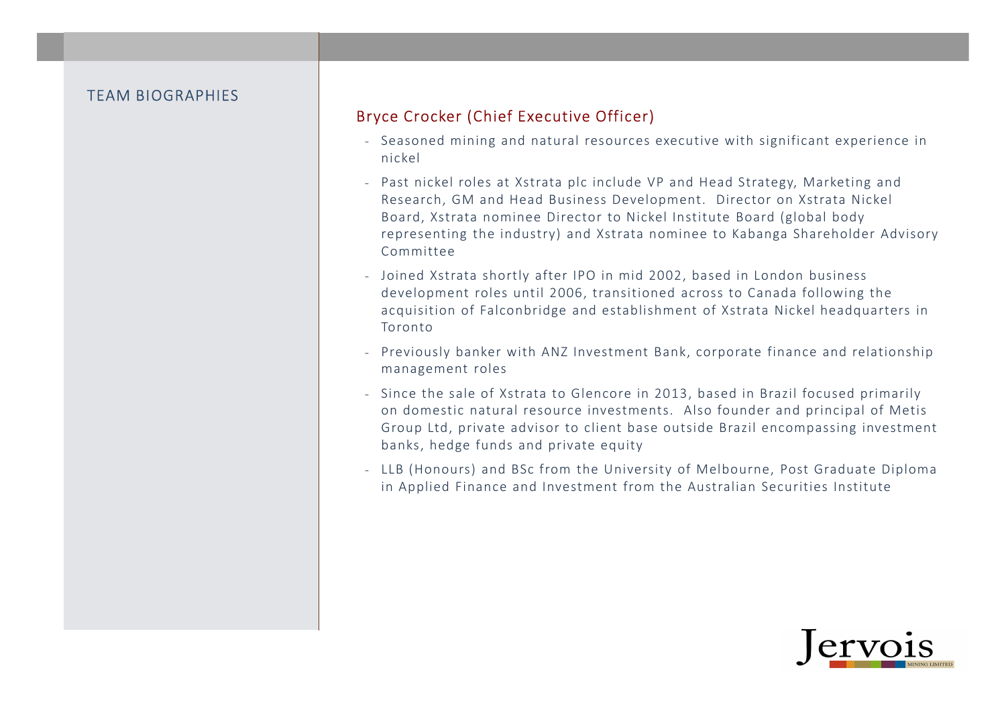### Bryce Crocker (Chief Executive Officer)

- Seasoned mining and natural resources executive with significant experience in nickel
- Past nickel roles at Xstrata plc include VP and Head Strategy, Marketing and Research, GM and Head Business Development. Director on Xstrata Nickel Board, Xstrata nominee Director to Nickel Institute Board (global body representing the industry) and Xstrata nominee to Kabanga Shareholder Advisory Committee
- Joined Xstrata shortly after IPO in mid 2002, based in London business development roles until 2006, transitioned across to Canada following the acquisition of Falconbridge and establishment of Xstrata Nickel headquarters in Toronto
- Previously banker with ANZ Investment Bank, corporate finance and relationship management roles
- Since the sale of Xstrata to Glencore in 2013, based in Brazil focused primarily on domestic natural resource investments. Also founder and principal of Metis Group Ltd, private advisor to client base outside Brazil encompassing investment banks, hedge funds and private equity
- LLB (Honours) and BSc from the University of Melbourne, Post Graduate Diploma in Applied Finance and Investment from the Australian Securities Institute

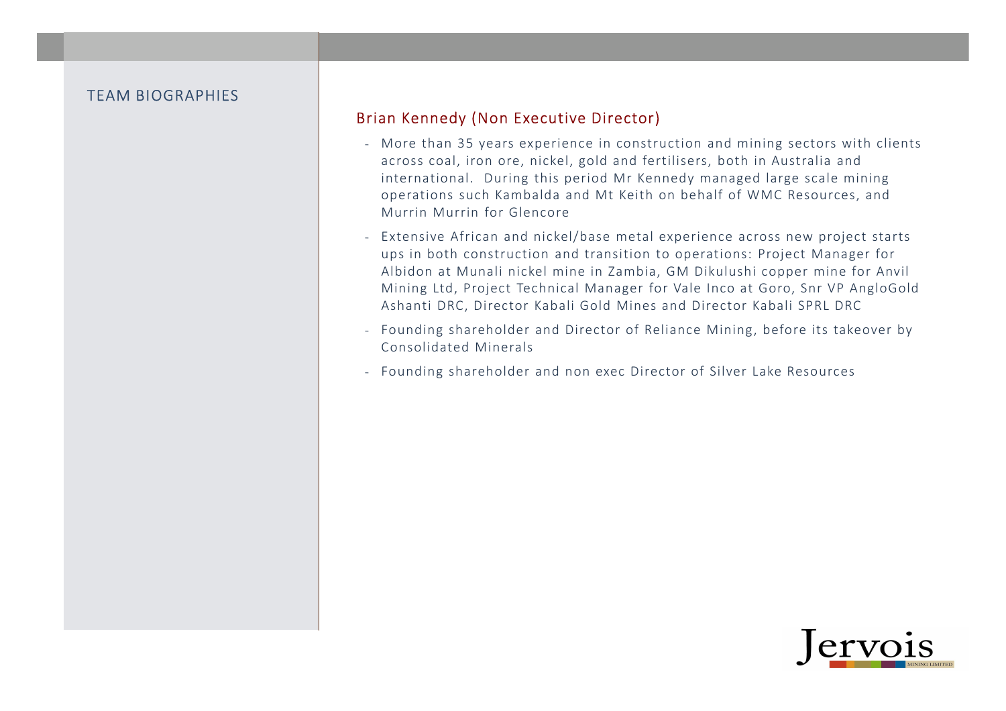### Brian Kennedy (Non Executive Director)

- More than 35 years experience in construction and mining sectors with clients across coal, iron ore, nickel, gold and fertilisers, both in Australia and international. During this period Mr Kennedy managed large scale mining operations such Kambalda and Mt Keith on behalf of WMC Resources, and Murrin Murrin for Glencore
- Extensive African and nickel/base metal experience across new project starts ups in both construction and transition to operations: Project Manager for Albidon at Munali nickel mine in Zambia, GM Dikulushi copper mine for Anvil Mining Ltd, Project Technical Manager for Vale Inco at Goro, Snr VP AngloGold Ashanti DRC, Director Kabali Gold Mines and Director Kabali SPRL DRC
- Founding shareholder and Director of Reliance Mining, before its takeover by Consolidated Minerals
- Founding shareholder and non exec Director of Silver Lake Resources

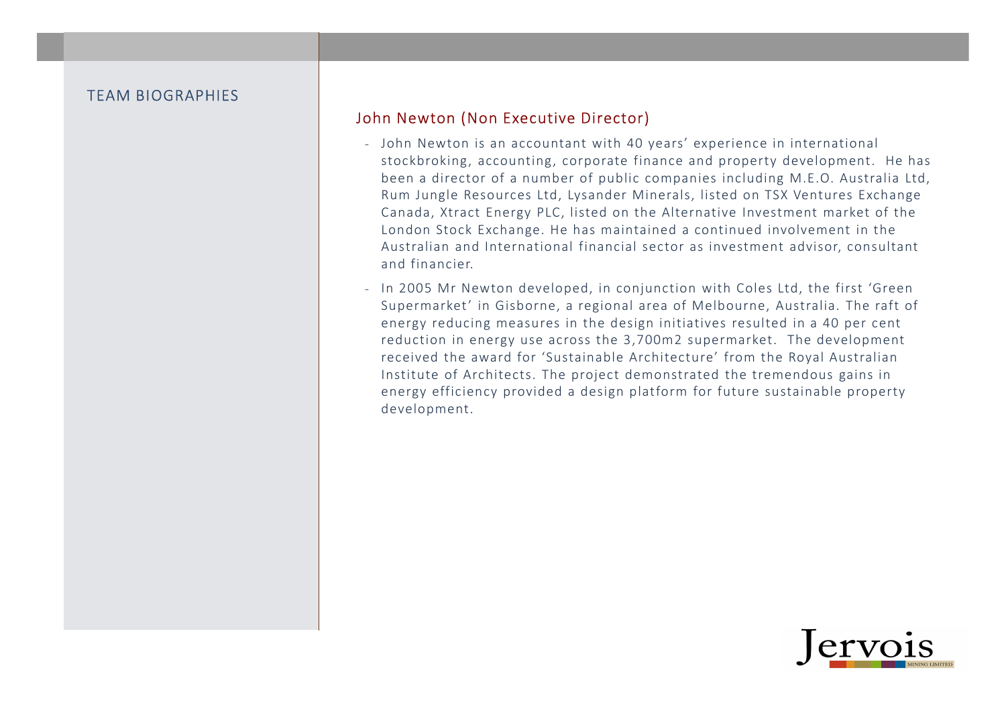### John Newton (Non Executive Director)

- John Newton is an accountant with 40 years' experience in international stockbroking, accounting, corporate finance and property development. He has been a director of a number of public companies including M.E.O. Australia Ltd, Rum Jungle Resources Ltd, Lysander Minerals, listed on TSX Ventures Exchange Canada, Xtract Energy PLC, listed on the Alternative Investment market of the London Stock Exchange. He has maintained a continued involvement in the Australian and International financial sector as investment advisor, consultant and financier.
- In 2005 Mr Newton developed, in conjunction with Coles Ltd, the first 'Green Supermarket' in Gisborne, a regional area of Melbourne, Australia. The raft of energy reducing measures in the design initiatives resulted in a 40 per cent reduction in energy use across the 3,700m2 supermarket. The development received the award for 'Sustainable Architecture' from the Royal Australian Institute of Architects. The project demonstrated the tremendous gains in energy efficiency provided a design platform for future sustainable property development.

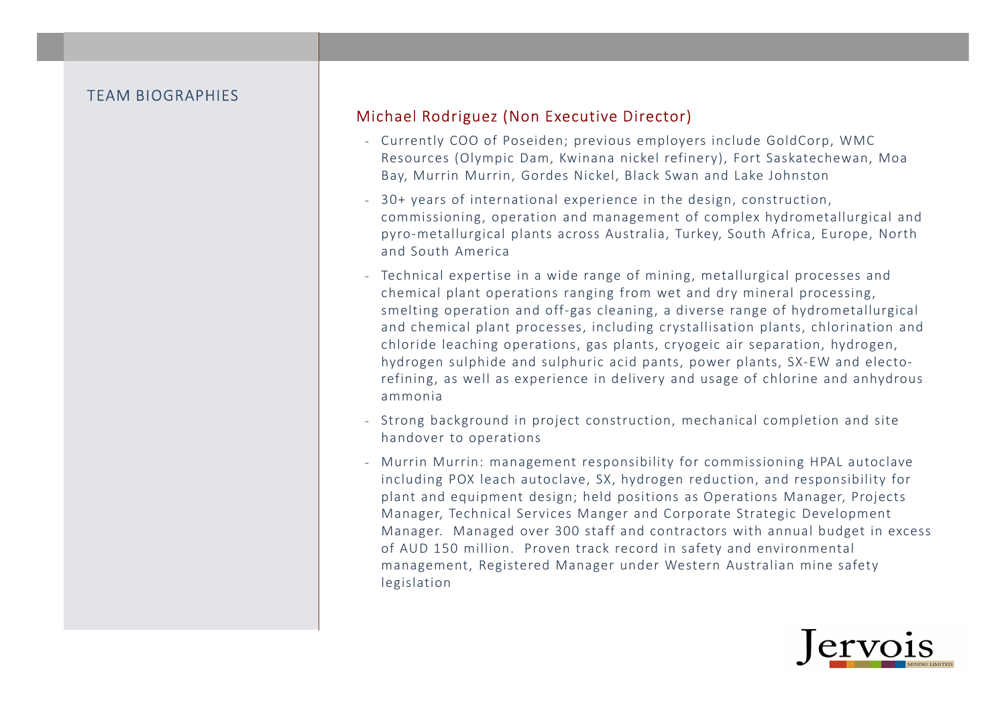### Michael Rodriguez (Non Executive Director)

- Currently COO of Poseiden; previous employers include GoldCorp, WMC Resources (Olympic Dam, Kwinana nickel refinery), Fort Saskatechewan, Moa Bay, Murrin Murrin, Gordes Nickel, Black Swan and Lake Johnston
- 30+ years of international experience in the design, construction, commissioning, operation and management of complex hydrometallurgical and pyro-metallurgical plants across Australia, Turkey, South Africa, Europe, North and South America
- Technical expertise in a wide range of mining, metallurgical processes and chemical plant operations ranging from wet and dry mineral processing, smelting operation and off-gas cleaning, a diverse range of hydrometallurgical and chemical plant processes, including crystallisation plants, chlorination and chloride leaching operations, gas plants, cryogeic air separation, hydrogen, hydrogen sulphide and sulphuric acid pants, power plants, SX-EW and electorefining, as well as experience in delivery and usage of chlorine and anhydrous ammonia
- Strong background in project construction, mechanical completion and site handover to operations
- Murrin Murrin: management responsibility for commissioning HPAL autoclave including POX leach autoclave, SX, hydrogen reduction, and responsibility for plant and equipment design; held positions as Operations Manager, Projects Manager, Technical Services Manger and Corporate Strategic Development Manager. Managed over 300 staff and contractors with annual budget in excess of AUD 150 million. Proven track record in safety and environmental management, Registered Manager under Western Australian mine safety legislation